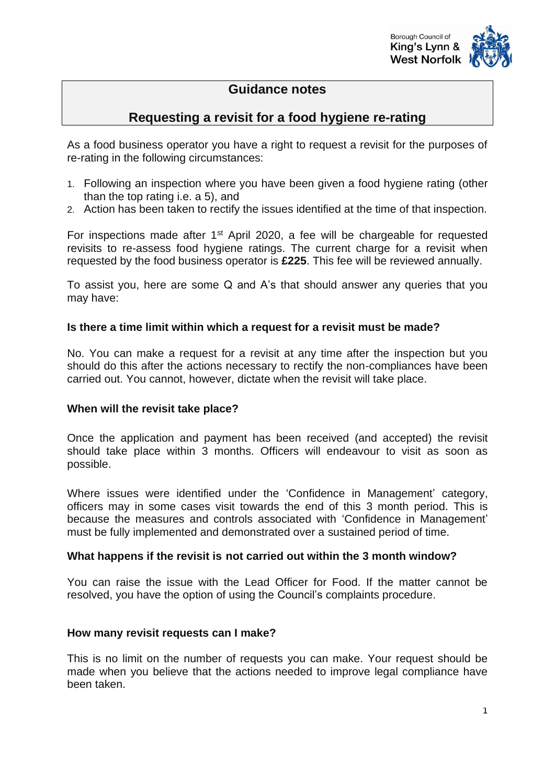

# **Guidance notes**

# **Requesting a revisit for a food hygiene re-rating**

As a food business operator you have a right to request a revisit for the purposes of re-rating in the following circumstances:

- 1. Following an inspection where you have been given a food hygiene rating (other than the top rating i.e. a 5), and
- 2. Action has been taken to rectify the issues identified at the time of that inspection.

For inspections made after 1<sup>st</sup> April 2020, a fee will be chargeable for requested revisits to re-assess food hygiene ratings. The current charge for a revisit when requested by the food business operator is **£225**. This fee will be reviewed annually.

To assist you, here are some Q and A's that should answer any queries that you may have:

#### **Is there a time limit within which a request for a revisit must be made?**

No. You can make a request for a revisit at any time after the inspection but you should do this after the actions necessary to rectify the non-compliances have been carried out. You cannot, however, dictate when the revisit will take place.

#### **When will the revisit take place?**

Once the application and payment has been received (and accepted) the revisit should take place within 3 months. Officers will endeavour to visit as soon as possible.

Where issues were identified under the 'Confidence in Management' category, officers may in some cases visit towards the end of this 3 month period. This is because the measures and controls associated with 'Confidence in Management' must be fully implemented and demonstrated over a sustained period of time.

#### **What happens if the revisit is not carried out within the 3 month window?**

You can raise the issue with the Lead Officer for Food. If the matter cannot be resolved, you have the option of using the Council's complaints procedure.

#### **How many revisit requests can I make?**

This is no limit on the number of requests you can make. Your request should be made when you believe that the actions needed to improve legal compliance have been taken.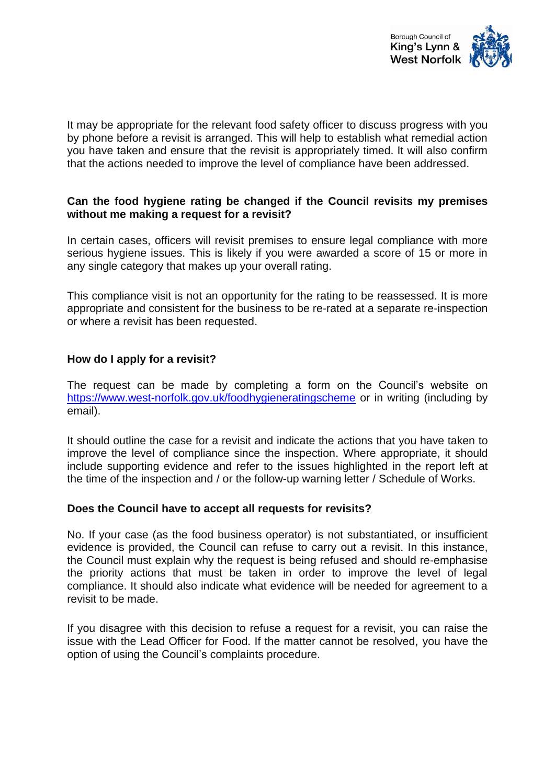

It may be appropriate for the relevant food safety officer to discuss progress with you by phone before a revisit is arranged. This will help to establish what remedial action you have taken and ensure that the revisit is appropriately timed. It will also confirm that the actions needed to improve the level of compliance have been addressed.

# **Can the food hygiene rating be changed if the Council revisits my premises without me making a request for a revisit?**

In certain cases, officers will revisit premises to ensure legal compliance with more serious hygiene issues. This is likely if you were awarded a score of 15 or more in any single category that makes up your overall rating.

This compliance visit is not an opportunity for the rating to be reassessed. It is more appropriate and consistent for the business to be re-rated at a separate re-inspection or where a revisit has been requested.

# **How do I apply for a revisit?**

The request can be made by completing a form on the Council's website on <https://www.west-norfolk.gov.uk/foodhygieneratingscheme> or in writing (including by email).

It should outline the case for a revisit and indicate the actions that you have taken to improve the level of compliance since the inspection. Where appropriate, it should include supporting evidence and refer to the issues highlighted in the report left at the time of the inspection and / or the follow-up warning letter / Schedule of Works.

#### **Does the Council have to accept all requests for revisits?**

No. If your case (as the food business operator) is not substantiated, or insufficient evidence is provided, the Council can refuse to carry out a revisit. In this instance, the Council must explain why the request is being refused and should re-emphasise the priority actions that must be taken in order to improve the level of legal compliance. It should also indicate what evidence will be needed for agreement to a revisit to be made.

If you disagree with this decision to refuse a request for a revisit, you can raise the issue with the Lead Officer for Food. If the matter cannot be resolved, you have the option of using the Council's complaints procedure.